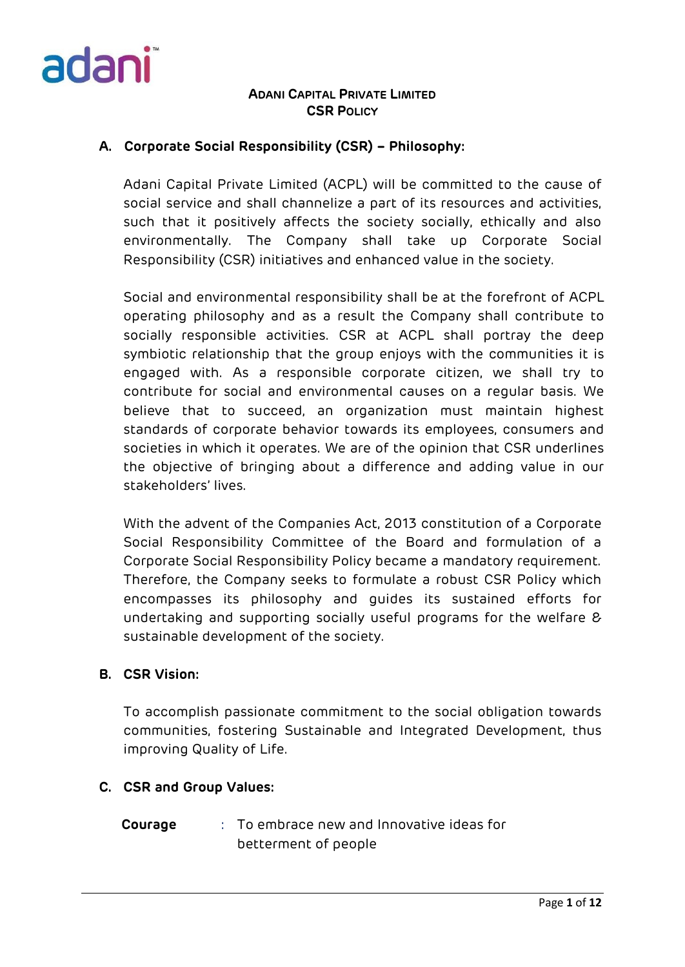

## **A. Corporate Social Responsibility (CSR) – Philosophy:**

Adani Capital Private Limited (ACPL) will be committed to the cause of social service and shall channelize a part of its resources and activities, such that it positively affects the society socially, ethically and also environmentally. The Company shall take up Corporate Social Responsibility (CSR) initiatives and enhanced value in the society.

Social and environmental responsibility shall be at the forefront of ACPL operating philosophy and as a result the Company shall contribute to socially responsible activities. CSR at ACPL shall portray the deep symbiotic relationship that the group enjoys with the communities it is engaged with. As a responsible corporate citizen, we shall try to contribute for social and environmental causes on a regular basis. We believe that to succeed, an organization must maintain highest standards of corporate behavior towards its employees, consumers and societies in which it operates. We are of the opinion that CSR underlines the objective of bringing about a difference and adding value in our stakeholders' lives.

With the advent of the Companies Act, 2013 constitution of a Corporate Social Responsibility Committee of the Board and formulation of a Corporate Social Responsibility Policy became a mandatory requirement. Therefore, the Company seeks to formulate a robust CSR Policy which encompasses its philosophy and guides its sustained efforts for undertaking and supporting socially useful programs for the welfare & sustainable development of the society.

#### **B. CSR Vision:**

To accomplish passionate commitment to the social obligation towards communities, fostering Sustainable and Integrated Development, thus improving Quality of Life.

#### **C. CSR and Group Values:**

**Courage** : To embrace new and Innovative ideas for betterment of people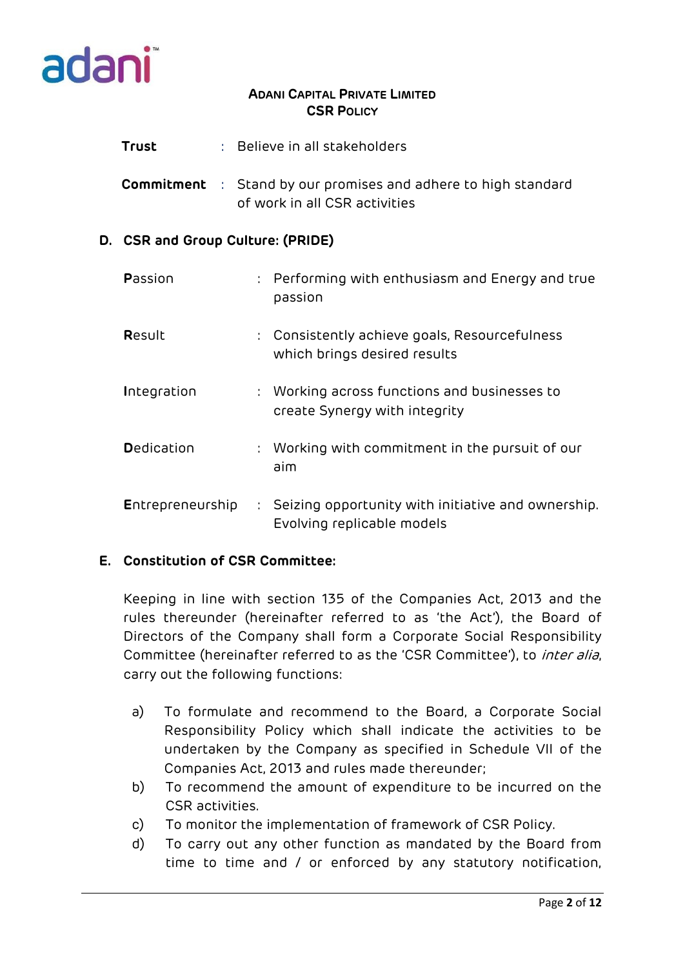

- **Trust** : Believe in all stakeholders
- **Commitment** : Stand by our promises and adhere to high standard of work in all CSR activities

## **D. CSR and Group Culture: (PRIDE)**

| Passion          | : Performing with enthusiasm and Energy and true<br>passion                        |
|------------------|------------------------------------------------------------------------------------|
| Result           | : Consistently achieve goals, Resourcefulness<br>which brings desired results      |
| Integration      | : Working across functions and businesses to<br>create Synergy with integrity      |
| Dedication       | : Working with commitment in the pursuit of our<br>aim                             |
| Entrepreneurship | : Seizing opportunity with initiative and ownership.<br>Evolving replicable models |

## **E. Constitution of CSR Committee:**

Keeping in line with section 135 of the Companies Act, 2013 and the rules thereunder (hereinafter referred to as 'the Act'), the Board of Directors of the Company shall form a Corporate Social Responsibility Committee (hereinafter referred to as the 'CSR Committee'), to *inter alia*, carry out the following functions:

- a) To formulate and recommend to the Board, a Corporate Social Responsibility Policy which shall indicate the activities to be undertaken by the Company as specified in Schedule VII of the Companies Act, 2013 and rules made thereunder;
- b) To recommend the amount of expenditure to be incurred on the CSR activities.
- c) To monitor the implementation of framework of CSR Policy.
- d) To carry out any other function as mandated by the Board from time to time and / or enforced by any statutory notification,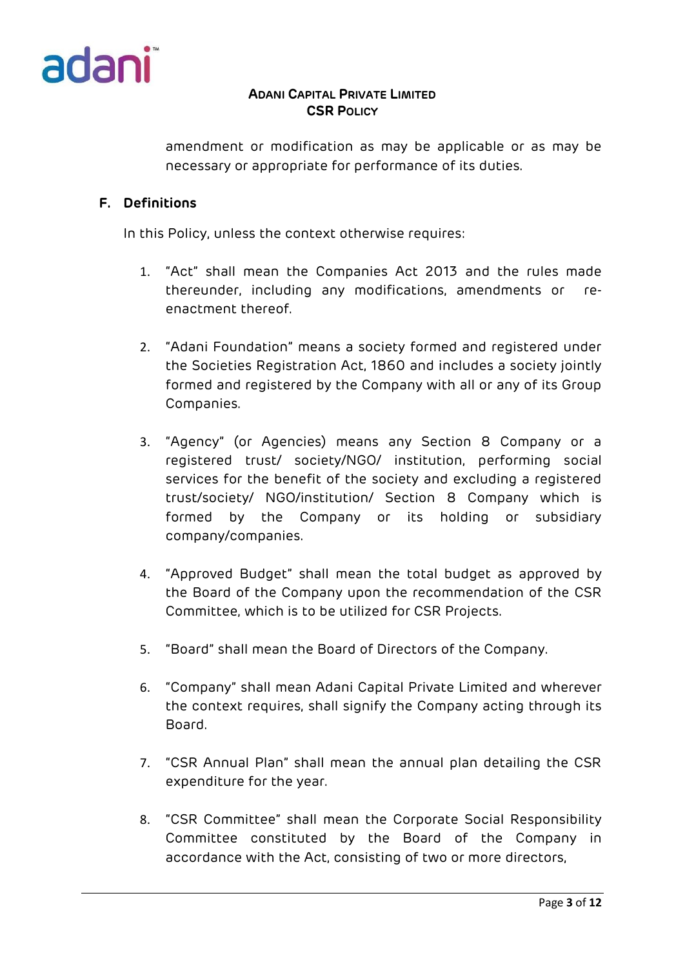

amendment or modification as may be applicable or as may be necessary or appropriate for performance of its duties.

## **F. Definitions**

In this Policy, unless the context otherwise requires:

- 1. "Act" shall mean the Companies Act 2013 and the rules made thereunder, including any modifications, amendments or reenactment thereof.
- 2. "Adani Foundation" means a society formed and registered under the Societies Registration Act, 1860 and includes a society jointly formed and registered by the Company with all or any of its Group Companies.
- 3. "Agency" (or Agencies) means any Section 8 Company or a registered trust/ society/NGO/ institution, performing social services for the benefit of the society and excluding a registered trust/society/ NGO/institution/ Section 8 Company which is formed by the Company or its holding or subsidiary company/companies.
- 4. "Approved Budget" shall mean the total budget as approved by the Board of the Company upon the recommendation of the CSR Committee, which is to be utilized for CSR Projects.
- 5. "Board" shall mean the Board of Directors of the Company.
- 6. "Company" shall mean Adani Capital Private Limited and wherever the context requires, shall signify the Company acting through its Board.
- 7. "CSR Annual Plan" shall mean the annual plan detailing the CSR expenditure for the year.
- 8. "CSR Committee" shall mean the Corporate Social Responsibility Committee constituted by the Board of the Company in accordance with the Act, consisting of two or more directors,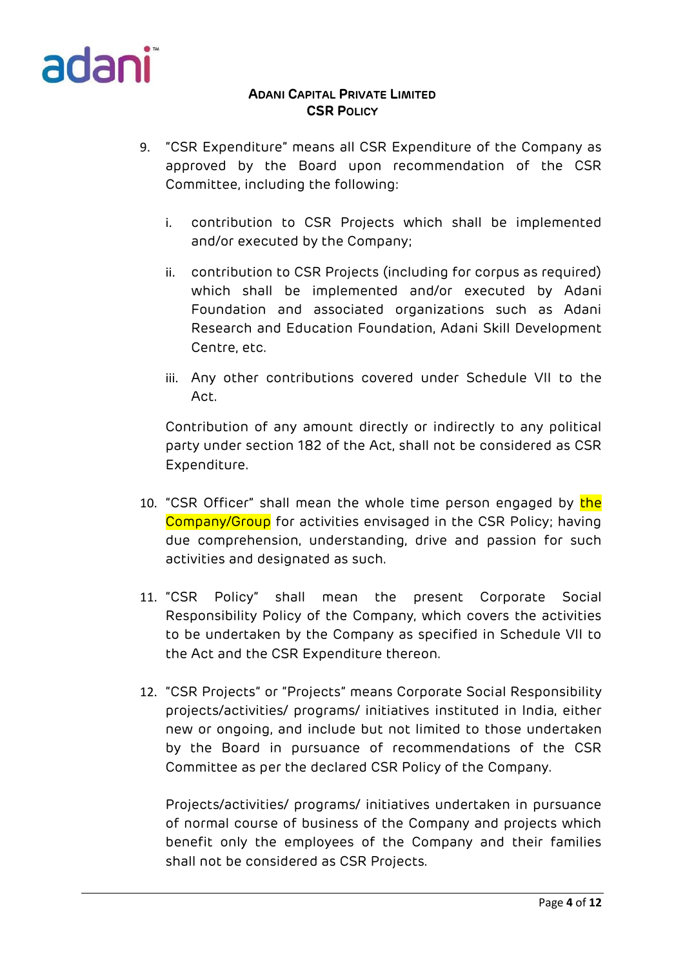

- 9. "CSR Expenditure" means all CSR Expenditure of the Company as approved by the Board upon recommendation of the CSR Committee, including the following:
	- i. contribution to CSR Projects which shall be implemented and/or executed by the Company;
	- ii. contribution to CSR Projects (including for corpus as required) which shall be implemented and/or executed by Adani Foundation and associated organizations such as Adani Research and Education Foundation, Adani Skill Development Centre, etc.
	- iii. Any other contributions covered under Schedule VII to the Act.

Contribution of any amount directly or indirectly to any political party under section 182 of the Act, shall not be considered as CSR Expenditure.

- 10. "CSR Officer" shall mean the whole time person engaged by the Company/Group for activities envisaged in the CSR Policy; having due comprehension, understanding, drive and passion for such activities and designated as such.
- 11. "CSR Policy" shall mean the present Corporate Social Responsibility Policy of the Company, which covers the activities to be undertaken by the Company as specified in Schedule VII to the Act and the CSR Expenditure thereon.
- 12. "CSR Projects" or "Projects" means Corporate Social Responsibility projects/activities/ programs/ initiatives instituted in India, either new or ongoing, and include but not limited to those undertaken by the Board in pursuance of recommendations of the CSR Committee as per the declared CSR Policy of the Company.

Projects/activities/ programs/ initiatives undertaken in pursuance of normal course of business of the Company and projects which benefit only the employees of the Company and their families shall not be considered as CSR Projects.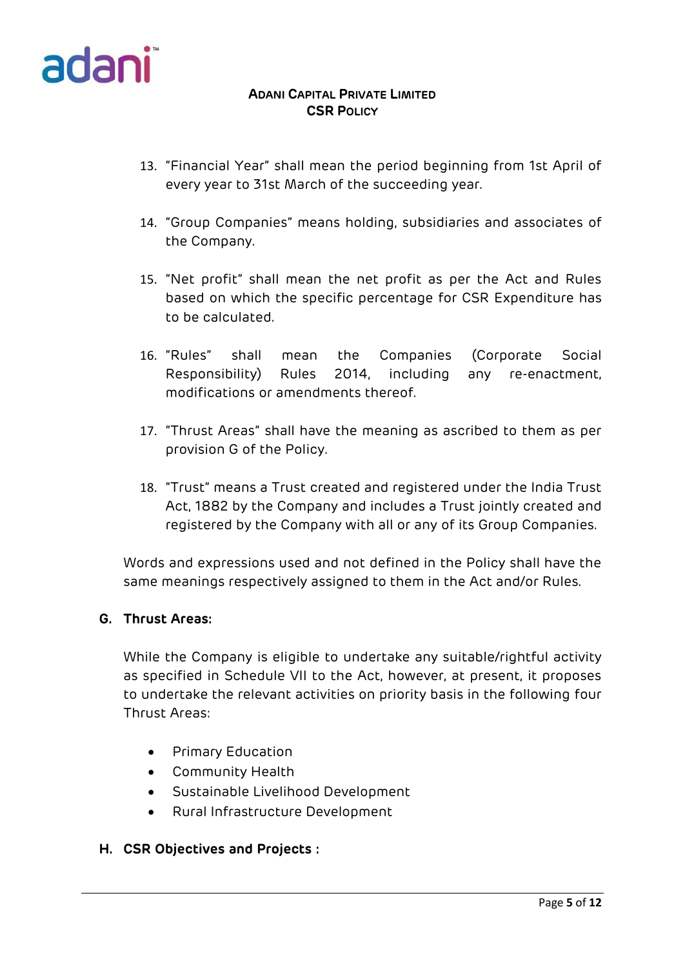

- 13. "Financial Year" shall mean the period beginning from 1st April of every year to 31st March of the succeeding year.
- 14. "Group Companies" means holding, subsidiaries and associates of the Company.
- 15. "Net profit" shall mean the net profit as per the Act and Rules based on which the specific percentage for CSR Expenditure has to be calculated.
- 16. "Rules" shall mean the Companies (Corporate Social Responsibility) Rules 2014, including any re-enactment, modifications or amendments thereof.
- 17. "Thrust Areas" shall have the meaning as ascribed to them as per provision G of the Policy.
- 18. "Trust" means a Trust created and registered under the India Trust Act, 1882 by the Company and includes a Trust jointly created and registered by the Company with all or any of its Group Companies.

Words and expressions used and not defined in the Policy shall have the same meanings respectively assigned to them in the Act and/or Rules.

#### **G. Thrust Areas:**

While the Company is eligible to undertake any suitable/rightful activity as specified in Schedule VII to the Act, however, at present, it proposes to undertake the relevant activities on priority basis in the following four Thrust Areas:

- **•** Primary Education
- Community Health
- Sustainable Livelihood Development
- Rural Infrastructure Development

#### **H. CSR Objectives and Projects :**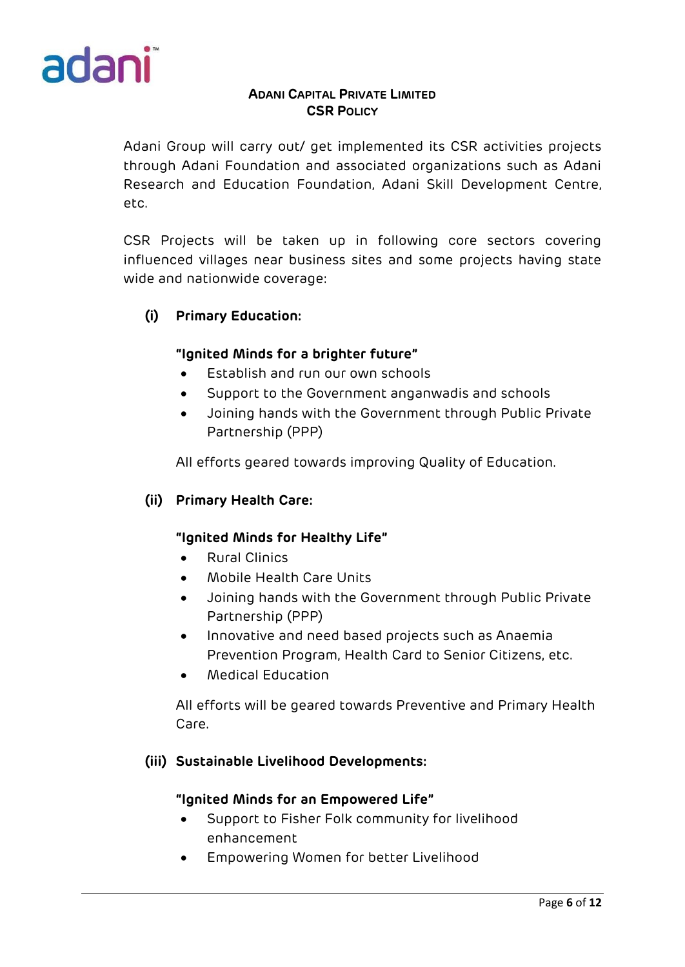

Adani Group will carry out/ get implemented its CSR activities projects through Adani Foundation and associated organizations such as Adani Research and Education Foundation, Adani Skill Development Centre, etc.

CSR Projects will be taken up in following core sectors covering influenced villages near business sites and some projects having state wide and nationwide coverage:

# **(i) Primary Education:**

## **"Ignited Minds for a brighter future"**

- Establish and run our own schools
- Support to the Government anganwadis and schools
- Joining hands with the Government through Public Private Partnership (PPP)

All efforts geared towards improving Quality of Education.

## **(ii) Primary Health Care:**

#### **"Ignited Minds for Healthy Life"**

- Rural Clinics
- Mobile Health Care Units
- Joining hands with the Government through Public Private Partnership (PPP)
- Innovative and need based projects such as Anaemia Prevention Program, Health Card to Senior Citizens, etc.
- Medical Education

All efforts will be geared towards Preventive and Primary Health Care.

#### **(iii) Sustainable Livelihood Developments:**

#### **"Ignited Minds for an Empowered Life"**

- Support to Fisher Folk community for livelihood enhancement
- Empowering Women for better Livelihood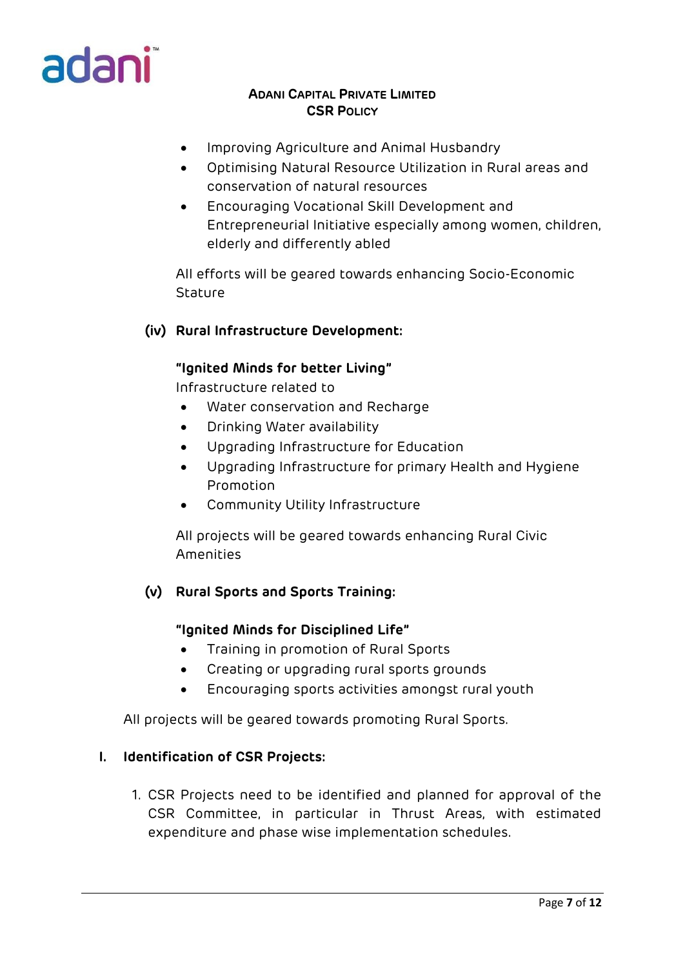

- Improving Agriculture and Animal Husbandry
- Optimising Natural Resource Utilization in Rural areas and conservation of natural resources
- Encouraging Vocational Skill Development and Entrepreneurial Initiative especially among women, children, elderly and differently abled

All efforts will be geared towards enhancing Socio-Economic **Stature** 

## **(iv) Rural Infrastructure Development:**

#### **"Ignited Minds for better Living"**

Infrastructure related to

- Water conservation and Recharge
- Drinking Water availability
- Upgrading Infrastructure for Education
- Upgrading Infrastructure for primary Health and Hygiene Promotion
- Community Utility Infrastructure

All projects will be geared towards enhancing Rural Civic Amenities

#### **(v) Rural Sports and Sports Training:**

#### **"Ignited Minds for Disciplined Life"**

- Training in promotion of Rural Sports
- Creating or upgrading rural sports grounds
- Encouraging sports activities amongst rural youth

All projects will be geared towards promoting Rural Sports.

#### **I. Identification of CSR Projects:**

1. CSR Projects need to be identified and planned for approval of the CSR Committee, in particular in Thrust Areas, with estimated expenditure and phase wise implementation schedules.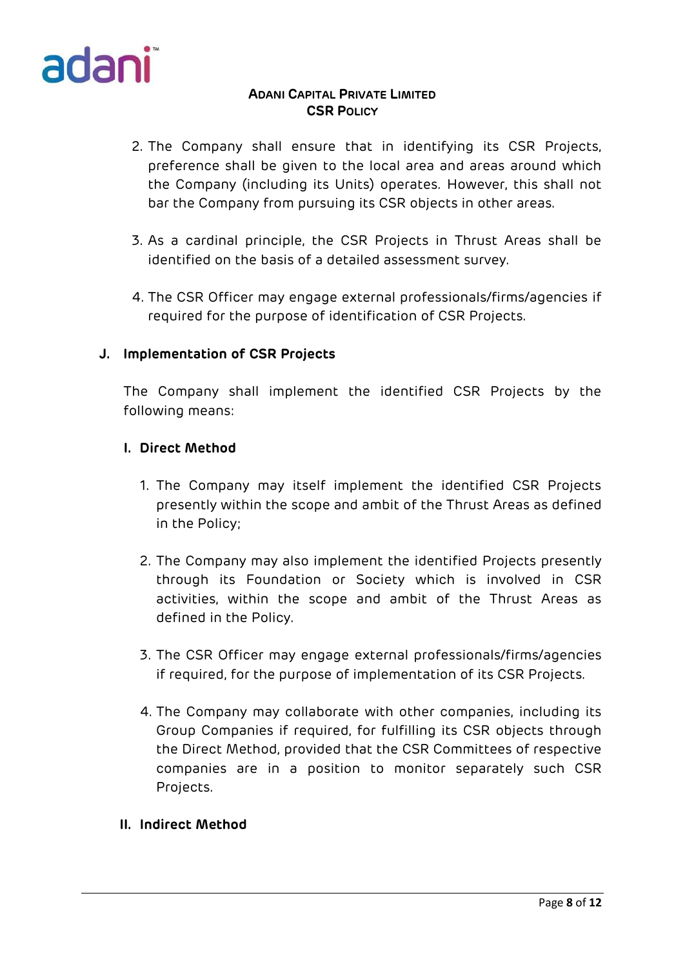

- 2. The Company shall ensure that in identifying its CSR Projects, preference shall be given to the local area and areas around which the Company (including its Units) operates. However, this shall not bar the Company from pursuing its CSR objects in other areas.
- 3. As a cardinal principle, the CSR Projects in Thrust Areas shall be identified on the basis of a detailed assessment survey.
- 4. The CSR Officer may engage external professionals/firms/agencies if required for the purpose of identification of CSR Projects.

## **J. Implementation of CSR Projects**

The Company shall implement the identified CSR Projects by the following means:

## **I. Direct Method**

- 1. The Company may itself implement the identified CSR Projects presently within the scope and ambit of the Thrust Areas as defined in the Policy;
- 2. The Company may also implement the identified Projects presently through its Foundation or Society which is involved in CSR activities, within the scope and ambit of the Thrust Areas as defined in the Policy.
- 3. The CSR Officer may engage external professionals/firms/agencies if required, for the purpose of implementation of its CSR Projects.
- 4. The Company may collaborate with other companies, including its Group Companies if required, for fulfilling its CSR objects through the Direct Method, provided that the CSR Committees of respective companies are in a position to monitor separately such CSR Projects.

### **II. Indirect Method**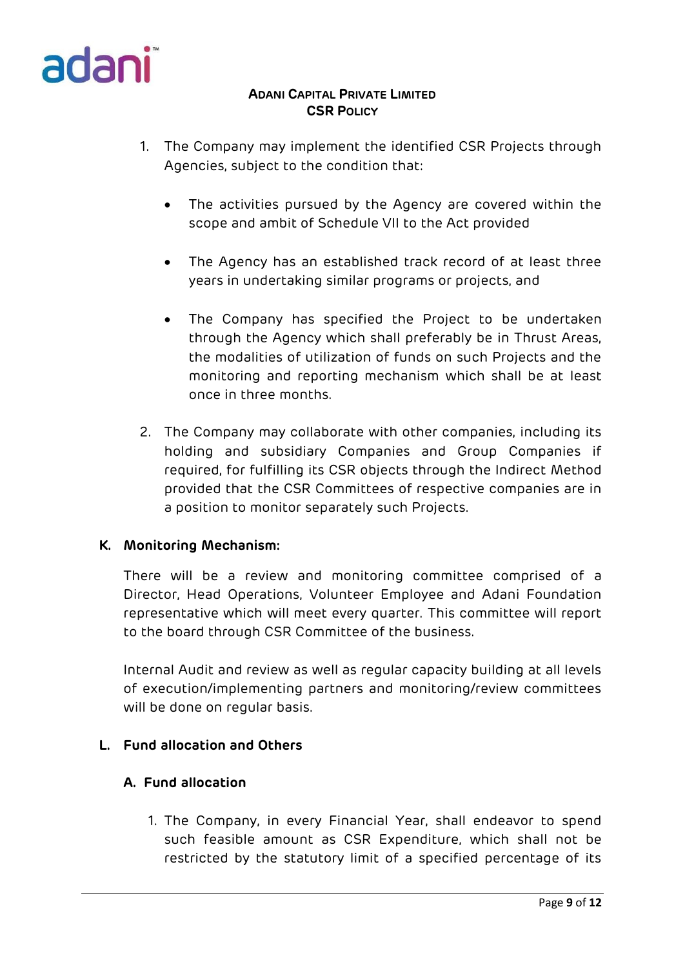

- 1. The Company may implement the identified CSR Projects through Agencies, subject to the condition that:
	- The activities pursued by the Agency are covered within the scope and ambit of Schedule VII to the Act provided
	- The Agency has an established track record of at least three years in undertaking similar programs or projects, and
	- The Company has specified the Project to be undertaken through the Agency which shall preferably be in Thrust Areas, the modalities of utilization of funds on such Projects and the monitoring and reporting mechanism which shall be at least once in three months.
- 2. The Company may collaborate with other companies, including its holding and subsidiary Companies and Group Companies if required, for fulfilling its CSR objects through the Indirect Method provided that the CSR Committees of respective companies are in a position to monitor separately such Projects.

#### **K. Monitoring Mechanism:**

There will be a review and monitoring committee comprised of a Director, Head Operations, Volunteer Employee and Adani Foundation representative which will meet every quarter. This committee will report to the board through CSR Committee of the business.

Internal Audit and review as well as regular capacity building at all levels of execution/implementing partners and monitoring/review committees will be done on regular basis.

## **L. Fund allocation and Others**

## **A. Fund allocation**

1. The Company, in every Financial Year, shall endeavor to spend such feasible amount as CSR Expenditure, which shall not be restricted by the statutory limit of a specified percentage of its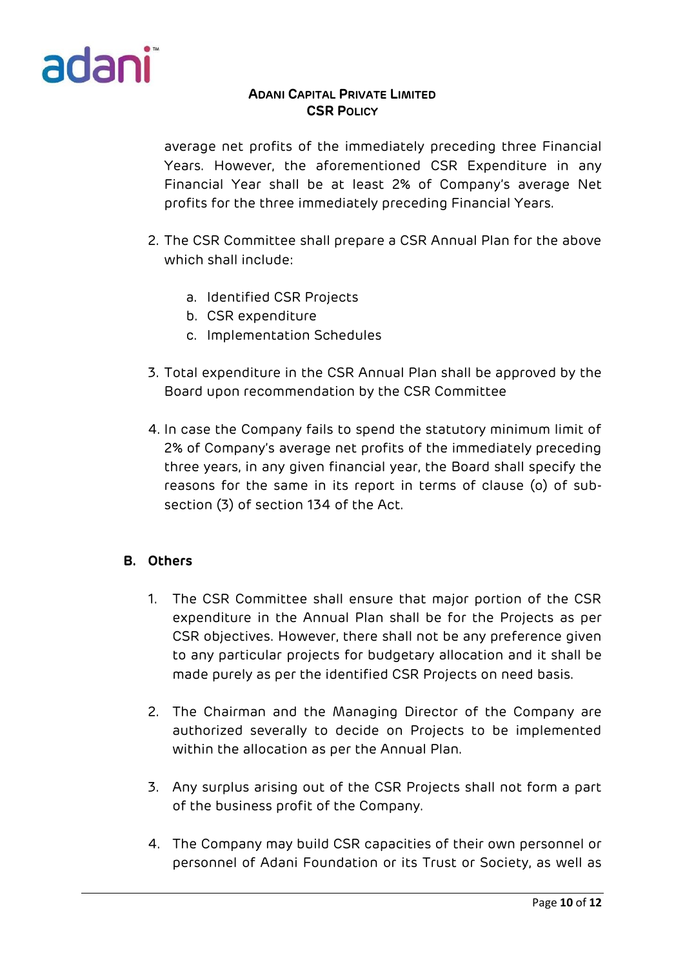

average net profits of the immediately preceding three Financial Years. However, the aforementioned CSR Expenditure in any Financial Year shall be at least 2% of Company's average Net profits for the three immediately preceding Financial Years.

- 2. The CSR Committee shall prepare a CSR Annual Plan for the above which shall include:
	- a. Identified CSR Projects
	- b. CSR expenditure
	- c. Implementation Schedules
- 3. Total expenditure in the CSR Annual Plan shall be approved by the Board upon recommendation by the CSR Committee
- 4. In case the Company fails to spend the statutory minimum limit of 2% of Company's average net profits of the immediately preceding three years, in any given financial year, the Board shall specify the reasons for the same in its report in terms of clause (o) of subsection (3) of section 134 of the Act.

## **B. Others**

- 1. The CSR Committee shall ensure that major portion of the CSR expenditure in the Annual Plan shall be for the Projects as per CSR objectives. However, there shall not be any preference given to any particular projects for budgetary allocation and it shall be made purely as per the identified CSR Projects on need basis.
- 2. The Chairman and the Managing Director of the Company are authorized severally to decide on Projects to be implemented within the allocation as per the Annual Plan.
- 3. Any surplus arising out of the CSR Projects shall not form a part of the business profit of the Company.
- 4. The Company may build CSR capacities of their own personnel or personnel of Adani Foundation or its Trust or Society, as well as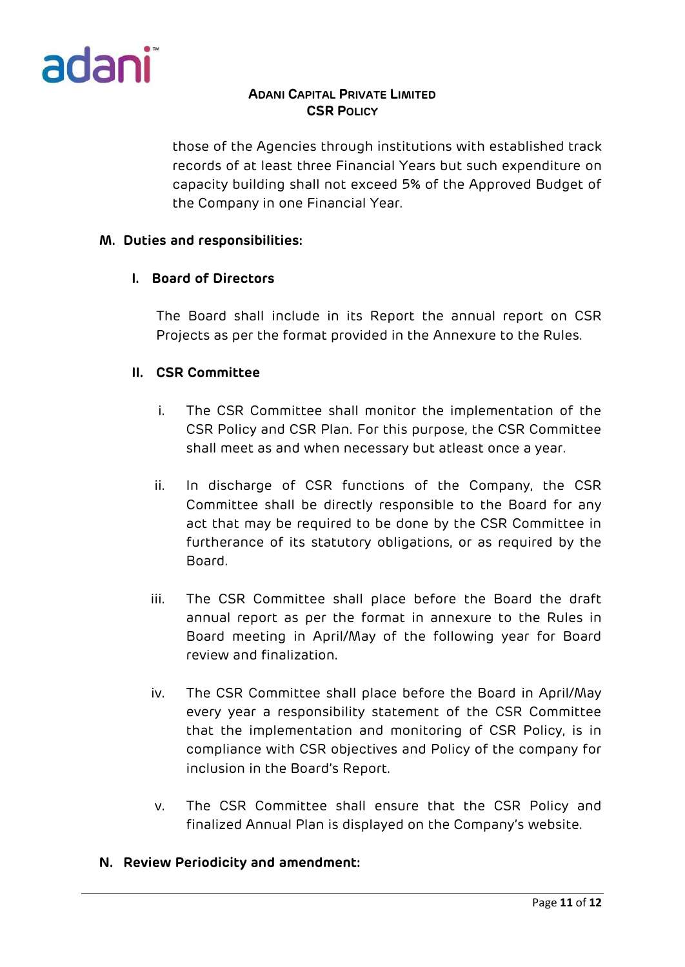

those of the Agencies through institutions with established track records of at least three Financial Years but such expenditure on capacity building shall not exceed 5% of the Approved Budget of the Company in one Financial Year.

### **M. Duties and responsibilities:**

## **I. Board of Directors**

The Board shall include in its Report the annual report on CSR Projects as per the format provided in the Annexure to the Rules.

## **II. CSR Committee**

- i. The CSR Committee shall monitor the implementation of the CSR Policy and CSR Plan. For this purpose, the CSR Committee shall meet as and when necessary but atleast once a year.
- ii. In discharge of CSR functions of the Company, the CSR Committee shall be directly responsible to the Board for any act that may be required to be done by the CSR Committee in furtherance of its statutory obligations, or as required by the Board.
- iii. The CSR Committee shall place before the Board the draft annual report as per the format in annexure to the Rules in Board meeting in April/May of the following year for Board review and finalization.
- iv. The CSR Committee shall place before the Board in April/May every year a responsibility statement of the CSR Committee that the implementation and monitoring of CSR Policy, is in compliance with CSR objectives and Policy of the company for inclusion in the Board's Report.
- v. The CSR Committee shall ensure that the CSR Policy and finalized Annual Plan is displayed on the Company's website.

#### **N. Review Periodicity and amendment:**